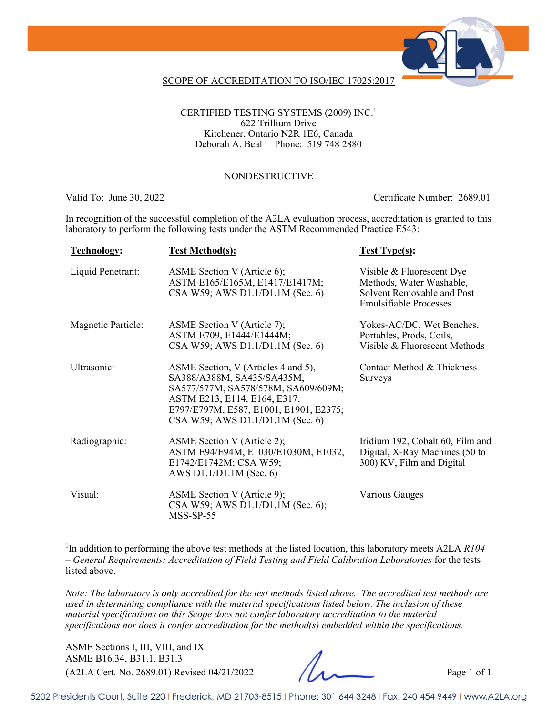

### SCOPE OF ACCREDITATION TO ISO/IEC 17025:2017

CERTIFIED TESTING SYSTEMS (2009) INC.1 622 Trillium Drive Kitchener, Ontario N2R 1E6, Canada Deborah A. Beal Phone: 519 748 2880

#### NONDESTRUCTIVE

Valid To: June 30, 2022 Certificate Number: 2689.01

In recognition of the successful completion of the A2LA evaluation process, accreditation is granted to this laboratory to perform the following tests under the ASTM Recommended Practice E543:

| <b>Technology:</b>        | <b>Test Method(s):</b>                                                                                                                                                                                                 | <b>Test Type(s):</b>                                                                                                 |
|---------------------------|------------------------------------------------------------------------------------------------------------------------------------------------------------------------------------------------------------------------|----------------------------------------------------------------------------------------------------------------------|
| Liquid Penetrant:         | ASME Section V (Article 6);<br>ASTM E165/E165M, E1417/E1417M;<br>CSA W59; AWS D1.1/D1.1M (Sec. 6)                                                                                                                      | Visible & Fluorescent Dye<br>Methods, Water Washable,<br>Solvent Removable and Post<br><b>Emulsifiable Processes</b> |
| <b>Magnetic Particle:</b> | ASME Section V (Article 7);<br>ASTM E709, E1444/E1444M;<br>CSA W59; AWS D1.1/D1.1M (Sec. 6)                                                                                                                            | Yokes-AC/DC, Wet Benches,<br>Portables, Prods, Coils,<br>Visible & Fluorescent Methods                               |
| Ultrasonic:               | ASME Section, V (Articles 4 and 5),<br>SA388/A388M, SA435/SA435M,<br>SA577/577M, SA578/578M, SA609/609M;<br>ASTM E213, E114, E164, E317,<br>E797/E797M, E587, E1001, E1901, E2375;<br>CSA W59; AWS D1.1/D1.1M (Sec. 6) | Contact Method & Thickness<br><b>Surveys</b>                                                                         |
| Radiographic:             | ASME Section V (Article 2);<br>ASTM E94/E94M, E1030/E1030M, E1032,<br>E1742/E1742M; CSA W59;<br>AWS D1.1/D1.1M (Sec. 6)                                                                                                | Iridium 192, Cobalt 60, Film and<br>Digital, X-Ray Machines (50 to<br>300) KV, Film and Digital                      |
| Visual:                   | ASME Section V (Article 9);<br>CSA W59; AWS D1.1/D1.1M (Sec. 6);<br>$MSS-SP-55$                                                                                                                                        | Various Gauges                                                                                                       |

<sup>1</sup>In addition to performing the above test methods at the listed location, this laboratory meets A2LA *R104 – General Requirements: Accreditation of Field Testing and Field Calibration Laboratories* for the tests listed above.

*Note: The laboratory is only accredited for the test methods listed above. The accredited test methods are used in determining compliance with the material specifications listed below. The inclusion of these material specifications on this Scope does not confer laboratory accreditation to the material specifications nor does it confer accreditation for the method(s) embedded within the specifications.*

(A2LA Cert. No. 2689.01) Revised 04/21/2022 Page 1 of 1 ASME Sections I, III, VIII, and IX ASME B16.34, B31.1, B31.3

5202 Presidents Court, Suite 220 | Frederick, MD 21703-8515 | Phone: 301 644 3248 | Fax: 240 454 9449 | www.A2LA.org